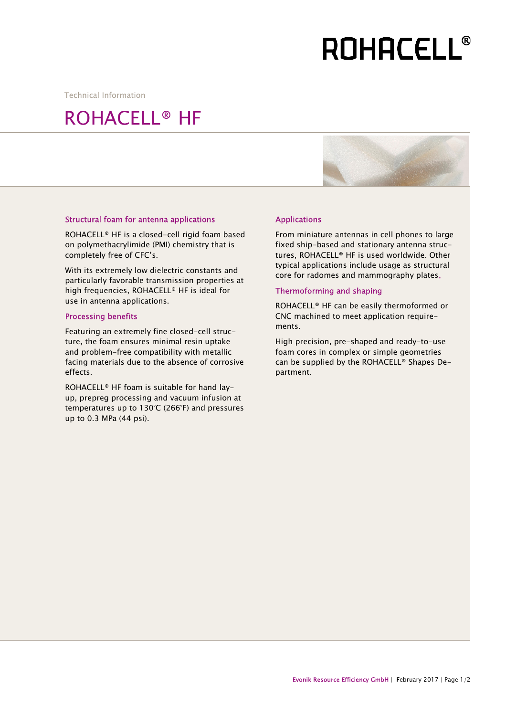## **ROHACELL®**

Technical Information

### ROHACELL® HF



#### Structural foam for antenna applications

ROHACELL® HF is a closed-cell rigid foam based on polymethacrylimide (PMI) chemistry that is completely free of CFC's.

With its extremely low dielectric constants and particularly favorable transmission properties at high frequencies, ROHACELL® HF is ideal for use in antenna applications.

#### Processing benefits

Featuring an extremely fine closed-cell structure, the foam ensures minimal resin uptake and problem-free compatibility with metallic facing materials due to the absence of corrosive effects.

ROHACELL® HF foam is suitable for hand layup, prepreg processing and vacuum infusion at temperatures up to 130°C (266°F) and pressures up to 0.3 MPa (44 psi).

#### Applications

From miniature antennas in cell phones to large fixed ship-based and stationary antenna structures, ROHACELL® HF is used worldwide. Other typical applications include usage as structural core for radomes and mammography plates.

#### Thermoforming and shaping

ROHACELL® HF can be easily thermoformed or CNC machined to meet application requirements.

High precision, pre-shaped and ready-to-use foam cores in complex or simple geometries can be supplied by the ROHACELL® Shapes Department.